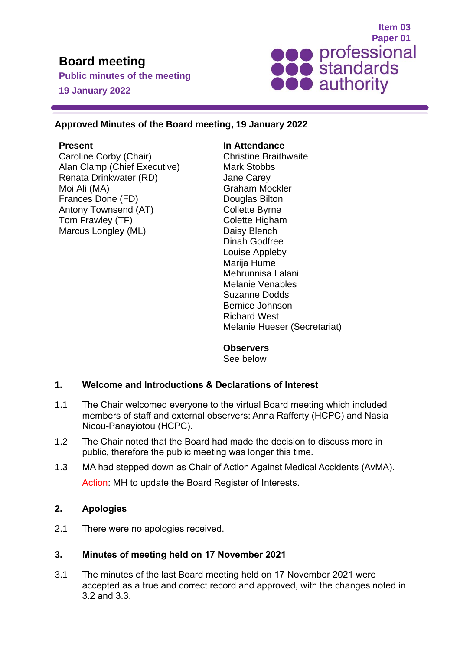# **Board meeting**

**Public minutes of the meeting 19 January 2022**



# **Approved Minutes of the Board meeting, 19 January 2022**

# **Present**

Caroline Corby (Chair) Alan Clamp (Chief Executive) Renata Drinkwater (RD) Moi Ali (MA) Frances Done (FD) Antony Townsend (AT) Tom Frawley (TF) Marcus Longley (ML)

# **In Attendance**

Christine Braithwaite Mark Stobbs Jane Carey Graham Mockler Douglas Bilton Collette Byrne Colette Higham Daisy Blench Dinah Godfree Louise Appleby Marija Hume Mehrunnisa Lalani Melanie Venables Suzanne Dodds Bernice Johnson Richard West Melanie Hueser (Secretariat)

# **Observers**

See below

# **1. Welcome and Introductions & Declarations of Interest**

- 1.1 The Chair welcomed everyone to the virtual Board meeting which included members of staff and external observers: Anna Rafferty (HCPC) and Nasia Nicou-Panayiotou (HCPC).
- 1.2 The Chair noted that the Board had made the decision to discuss more in public, therefore the public meeting was longer this time.
- 1.3 MA had stepped down as Chair of Action Against Medical Accidents (AvMA). Action: MH to update the Board Register of Interests.

# **2. Apologies**

2.1 There were no apologies received.

# **3. Minutes of meeting held on 17 November 2021**

3.1 The minutes of the last Board meeting held on 17 November 2021 were accepted as a true and correct record and approved, with the changes noted in 3.2 and 3.3.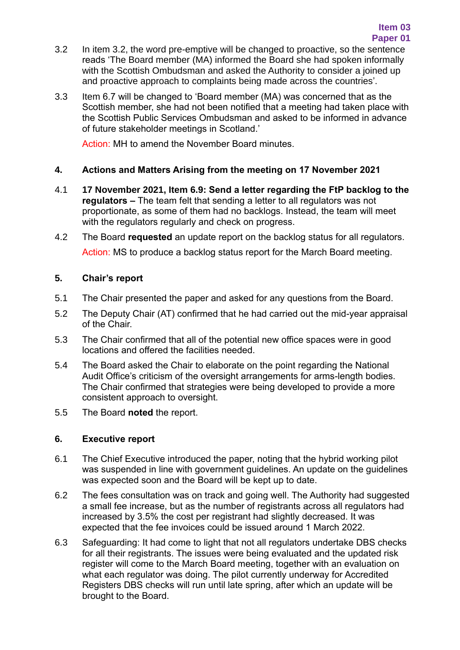- 3.2 In item 3.2, the word pre-emptive will be changed to proactive, so the sentence reads 'The Board member (MA) informed the Board she had spoken informally with the Scottish Ombudsman and asked the Authority to consider a joined up and proactive approach to complaints being made across the countries'.
- 3.3 Item 6.7 will be changed to 'Board member (MA) was concerned that as the Scottish member, she had not been notified that a meeting had taken place with the Scottish Public Services Ombudsman and asked to be informed in advance of future stakeholder meetings in Scotland.'

Action: MH to amend the November Board minutes.

# **4. Actions and Matters Arising from the meeting on 17 November 2021**

- 4.1 **17 November 2021, Item 6.9: Send a letter regarding the FtP backlog to the regulators –** The team felt that sending a letter to all regulators was not proportionate, as some of them had no backlogs. Instead, the team will meet with the regulators regularly and check on progress.
- 4.2 The Board **requested** an update report on the backlog status for all regulators. Action: MS to produce a backlog status report for the March Board meeting.

# **5. Chair's report**

- 5.1 The Chair presented the paper and asked for any questions from the Board.
- 5.2 The Deputy Chair (AT) confirmed that he had carried out the mid-year appraisal of the Chair.
- 5.3 The Chair confirmed that all of the potential new office spaces were in good locations and offered the facilities needed.
- 5.4 The Board asked the Chair to elaborate on the point regarding the National Audit Office's criticism of the oversight arrangements for arms-length bodies. The Chair confirmed that strategies were being developed to provide a more consistent approach to oversight.
- 5.5 The Board **noted** the report.

# **6. Executive report**

- 6.1 The Chief Executive introduced the paper, noting that the hybrid working pilot was suspended in line with government guidelines. An update on the guidelines was expected soon and the Board will be kept up to date.
- 6.2 The fees consultation was on track and going well. The Authority had suggested a small fee increase, but as the number of registrants across all regulators had increased by 3.5% the cost per registrant had slightly decreased. It was expected that the fee invoices could be issued around 1 March 2022.
- 6.3 Safeguarding: It had come to light that not all regulators undertake DBS checks for all their registrants. The issues were being evaluated and the updated risk register will come to the March Board meeting, together with an evaluation on what each regulator was doing. The pilot currently underway for Accredited Registers DBS checks will run until late spring, after which an update will be brought to the Board.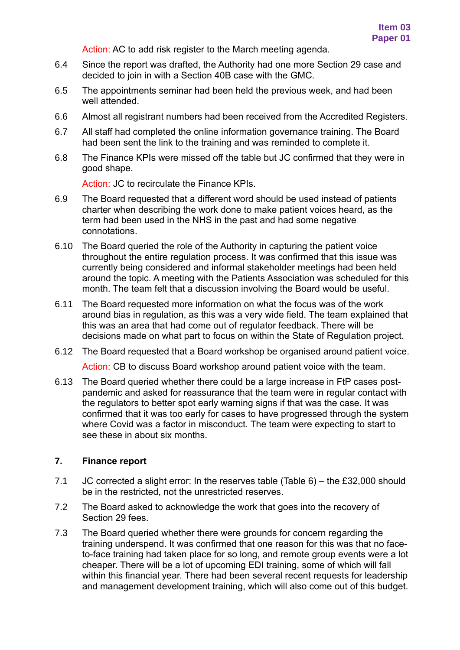Action: AC to add risk register to the March meeting agenda.

- 6.4 Since the report was drafted, the Authority had one more Section 29 case and decided to join in with a Section 40B case with the GMC.
- 6.5 The appointments seminar had been held the previous week, and had been well attended.
- 6.6 Almost all registrant numbers had been received from the Accredited Registers.
- 6.7 All staff had completed the online information governance training. The Board had been sent the link to the training and was reminded to complete it.
- 6.8 The Finance KPIs were missed off the table but JC confirmed that they were in good shape.

Action: JC to recirculate the Finance KPIs.

- 6.9 The Board requested that a different word should be used instead of patients charter when describing the work done to make patient voices heard, as the term had been used in the NHS in the past and had some negative connotations.
- 6.10 The Board queried the role of the Authority in capturing the patient voice throughout the entire regulation process. It was confirmed that this issue was currently being considered and informal stakeholder meetings had been held around the topic. A meeting with the Patients Association was scheduled for this month. The team felt that a discussion involving the Board would be useful.
- 6.11 The Board requested more information on what the focus was of the work around bias in regulation, as this was a very wide field. The team explained that this was an area that had come out of regulator feedback. There will be decisions made on what part to focus on within the State of Regulation project.
- 6.12 The Board requested that a Board workshop be organised around patient voice.

Action: CB to discuss Board workshop around patient voice with the team.

6.13 The Board queried whether there could be a large increase in FtP cases postpandemic and asked for reassurance that the team were in regular contact with the regulators to better spot early warning signs if that was the case. It was confirmed that it was too early for cases to have progressed through the system where Covid was a factor in misconduct. The team were expecting to start to see these in about six months.

# **7. Finance report**

- 7.1 JC corrected a slight error: In the reserves table (Table 6) the £32,000 should be in the restricted, not the unrestricted reserves.
- 7.2 The Board asked to acknowledge the work that goes into the recovery of Section 29 fees.
- 7.3 The Board queried whether there were grounds for concern regarding the training underspend. It was confirmed that one reason for this was that no faceto-face training had taken place for so long, and remote group events were a lot cheaper. There will be a lot of upcoming EDI training, some of which will fall within this financial year. There had been several recent requests for leadership and management development training, which will also come out of this budget.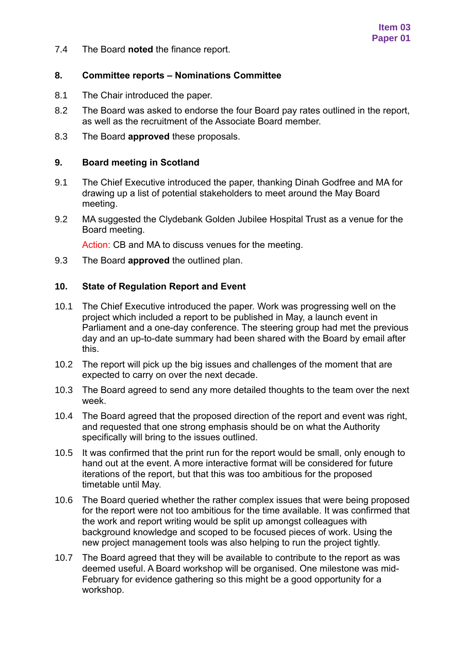7.4 The Board **noted** the finance report.

# **8. Committee reports – Nominations Committee**

- 8.1 The Chair introduced the paper.
- 8.2 The Board was asked to endorse the four Board pay rates outlined in the report, as well as the recruitment of the Associate Board member.
- 8.3 The Board **approved** these proposals.

#### **9. Board meeting in Scotland**

- 9.1 The Chief Executive introduced the paper, thanking Dinah Godfree and MA for drawing up a list of potential stakeholders to meet around the May Board meeting.
- 9.2 MA suggested the Clydebank Golden Jubilee Hospital Trust as a venue for the Board meeting.

Action: CB and MA to discuss venues for the meeting.

9.3 The Board **approved** the outlined plan.

#### **10. State of Regulation Report and Event**

- 10.1 The Chief Executive introduced the paper. Work was progressing well on the project which included a report to be published in May, a launch event in Parliament and a one-day conference. The steering group had met the previous day and an up-to-date summary had been shared with the Board by email after this.
- 10.2 The report will pick up the big issues and challenges of the moment that are expected to carry on over the next decade.
- 10.3 The Board agreed to send any more detailed thoughts to the team over the next week.
- 10.4 The Board agreed that the proposed direction of the report and event was right, and requested that one strong emphasis should be on what the Authority specifically will bring to the issues outlined.
- 10.5 It was confirmed that the print run for the report would be small, only enough to hand out at the event. A more interactive format will be considered for future iterations of the report, but that this was too ambitious for the proposed timetable until May.
- 10.6 The Board queried whether the rather complex issues that were being proposed for the report were not too ambitious for the time available. It was confirmed that the work and report writing would be split up amongst colleagues with background knowledge and scoped to be focused pieces of work. Using the new project management tools was also helping to run the project tightly.
- 10.7 The Board agreed that they will be available to contribute to the report as was deemed useful. A Board workshop will be organised. One milestone was mid-February for evidence gathering so this might be a good opportunity for a workshop.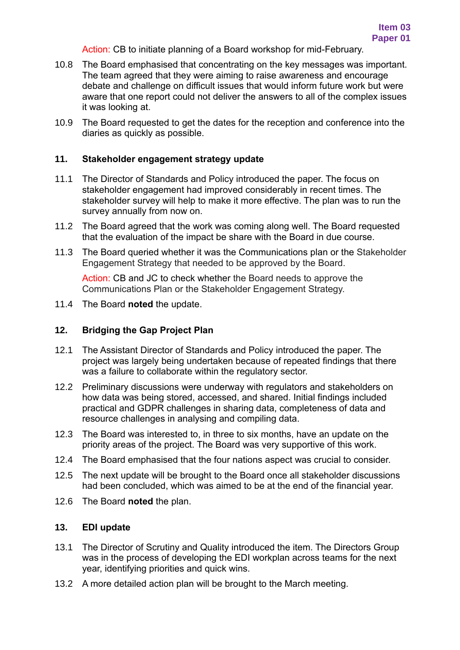Action: CB to initiate planning of a Board workshop for mid-February.

- 10.8 The Board emphasised that concentrating on the key messages was important. The team agreed that they were aiming to raise awareness and encourage debate and challenge on difficult issues that would inform future work but were aware that one report could not deliver the answers to all of the complex issues it was looking at.
- 10.9 The Board requested to get the dates for the reception and conference into the diaries as quickly as possible.

#### **11. Stakeholder engagement strategy update**

- 11.1 The Director of Standards and Policy introduced the paper. The focus on stakeholder engagement had improved considerably in recent times. The stakeholder survey will help to make it more effective. The plan was to run the survey annually from now on.
- 11.2 The Board agreed that the work was coming along well. The Board requested that the evaluation of the impact be share with the Board in due course.
- 11.3 The Board queried whether it was the Communications plan or the Stakeholder Engagement Strategy that needed to be approved by the Board.

Action: CB and JC to check whether the Board needs to approve the Communications Plan or the Stakeholder Engagement Strategy.

11.4 The Board **noted** the update.

# **12. Bridging the Gap Project Plan**

- 12.1 The Assistant Director of Standards and Policy introduced the paper. The project was largely being undertaken because of repeated findings that there was a failure to collaborate within the regulatory sector.
- 12.2 Preliminary discussions were underway with regulators and stakeholders on how data was being stored, accessed, and shared. Initial findings included practical and GDPR challenges in sharing data, completeness of data and resource challenges in analysing and compiling data.
- 12.3 The Board was interested to, in three to six months, have an update on the priority areas of the project. The Board was very supportive of this work.
- 12.4 The Board emphasised that the four nations aspect was crucial to consider.
- 12.5 The next update will be brought to the Board once all stakeholder discussions had been concluded, which was aimed to be at the end of the financial year.
- 12.6 The Board **noted** the plan.

# **13. EDI update**

- 13.1 The Director of Scrutiny and Quality introduced the item. The Directors Group was in the process of developing the EDI workplan across teams for the next year, identifying priorities and quick wins.
- 13.2 A more detailed action plan will be brought to the March meeting.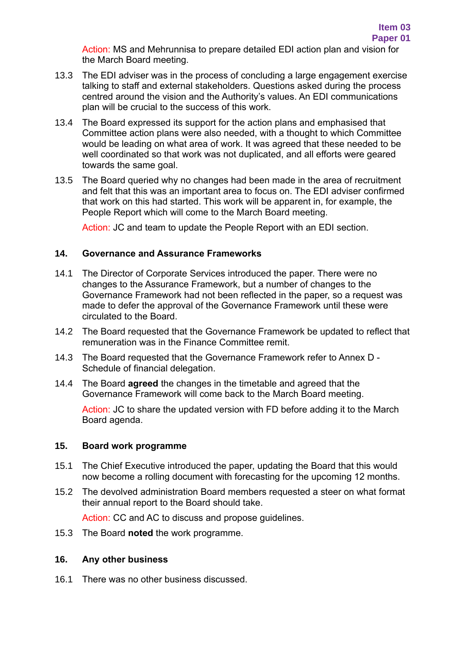Action: MS and Mehrunnisa to prepare detailed EDI action plan and vision for the March Board meeting.

- 13.3 The EDI adviser was in the process of concluding a large engagement exercise talking to staff and external stakeholders. Questions asked during the process centred around the vision and the Authority's values. An EDI communications plan will be crucial to the success of this work.
- 13.4 The Board expressed its support for the action plans and emphasised that Committee action plans were also needed, with a thought to which Committee would be leading on what area of work. It was agreed that these needed to be well coordinated so that work was not duplicated, and all efforts were geared towards the same goal.
- 13.5 The Board queried why no changes had been made in the area of recruitment and felt that this was an important area to focus on. The EDI adviser confirmed that work on this had started. This work will be apparent in, for example, the People Report which will come to the March Board meeting.

Action: JC and team to update the People Report with an EDI section.

# **14. Governance and Assurance Frameworks**

- 14.1 The Director of Corporate Services introduced the paper. There were no changes to the Assurance Framework, but a number of changes to the Governance Framework had not been reflected in the paper, so a request was made to defer the approval of the Governance Framework until these were circulated to the Board.
- 14.2 The Board requested that the Governance Framework be updated to reflect that remuneration was in the Finance Committee remit.
- 14.3 The Board requested that the Governance Framework refer to Annex D Schedule of financial delegation.
- 14.4 The Board **agreed** the changes in the timetable and agreed that the Governance Framework will come back to the March Board meeting.

Action: JC to share the updated version with FD before adding it to the March Board agenda.

#### **15. Board work programme**

- 15.1 The Chief Executive introduced the paper, updating the Board that this would now become a rolling document with forecasting for the upcoming 12 months.
- 15.2 The devolved administration Board members requested a steer on what format their annual report to the Board should take.

Action: CC and AC to discuss and propose guidelines.

15.3 The Board **noted** the work programme.

# **16. Any other business**

16.1 There was no other business discussed.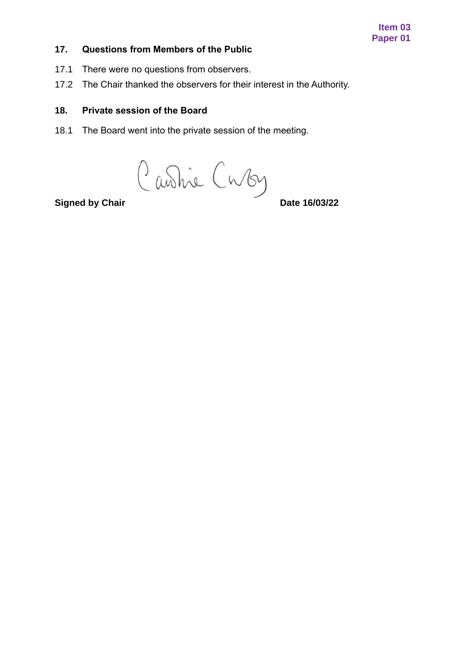#### **Item 03 Paper 01**

# **17. Questions from Members of the Public**

- 17.1 There were no questions from observers.
- 17.2 The Chair thanked the observers for their interest in the Authority.

# **18. Private session of the Board**

18.1 The Board went into the private session of the meeting.

**Signed by Chair** Curchil Curchy<br> **Signed by Chair**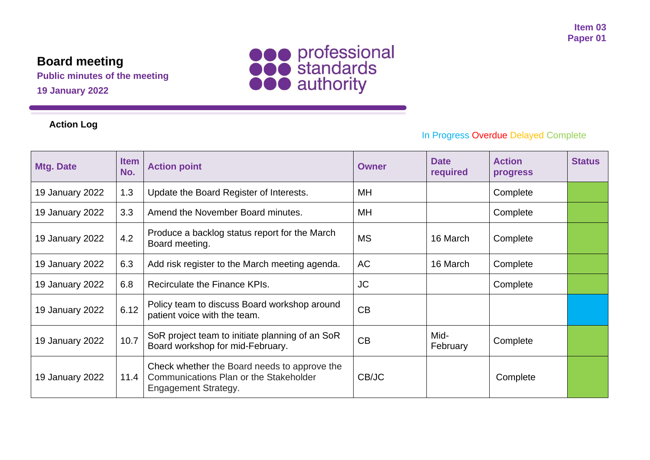# **Board meeting**

**Public minutes of the meeting 19 January 2022**



# **Action Log**

# In Progress Overdue Delayed Complete

| <b>Mtg. Date</b> | <b>Item</b><br>No. | <b>Action point</b>                                                                                            | <b>Owner</b> | <b>Date</b><br>required | <b>Action</b><br><b>progress</b> | <b>Status</b> |
|------------------|--------------------|----------------------------------------------------------------------------------------------------------------|--------------|-------------------------|----------------------------------|---------------|
| 19 January 2022  | 1.3                | Update the Board Register of Interests.                                                                        | MH           |                         | Complete                         |               |
| 19 January 2022  | 3.3                | Amend the November Board minutes.                                                                              | MH           |                         | Complete                         |               |
| 19 January 2022  | 4.2                | Produce a backlog status report for the March<br>Board meeting.                                                | <b>MS</b>    | 16 March                | Complete                         |               |
| 19 January 2022  | 6.3                | Add risk register to the March meeting agenda.                                                                 | <b>AC</b>    | 16 March                | Complete                         |               |
| 19 January 2022  | 6.8                | Recirculate the Finance KPIs.                                                                                  | <b>JC</b>    |                         | Complete                         |               |
| 19 January 2022  | 6.12               | Policy team to discuss Board workshop around<br>patient voice with the team.                                   | CB           |                         |                                  |               |
| 19 January 2022  | 10.7               | SoR project team to initiate planning of an SoR<br>Board workshop for mid-February.                            | CB           | Mid-<br>February        | Complete                         |               |
| 19 January 2022  | 11.4               | Check whether the Board needs to approve the<br>Communications Plan or the Stakeholder<br>Engagement Strategy. | CB/JC        |                         | Complete                         |               |